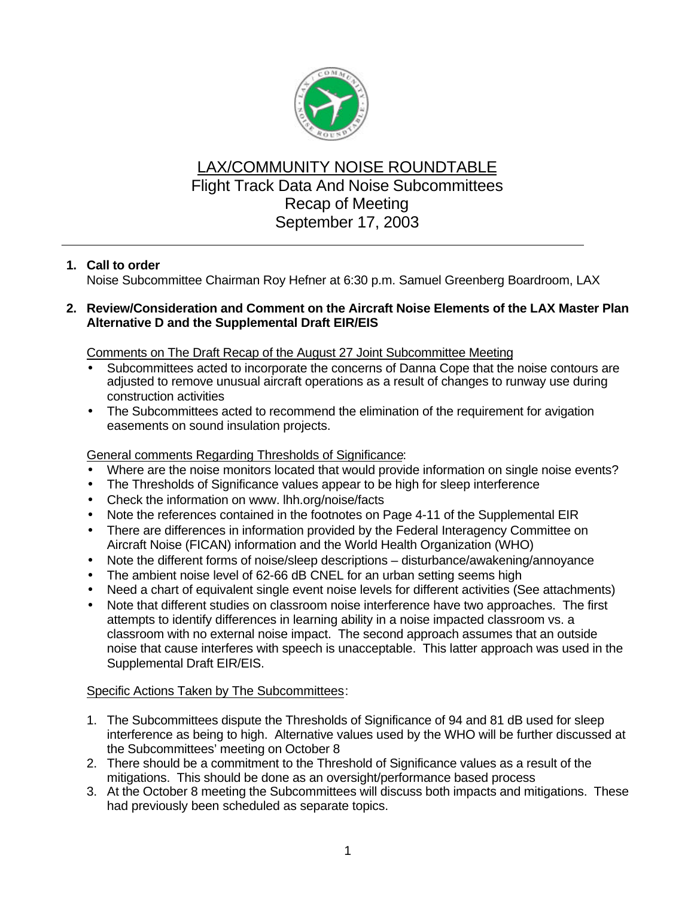

# LAX/COMMUNITY NOISE ROUNDTABLE Flight Track Data And Noise Subcommittees Recap of Meeting September 17, 2003

## **1. Call to order**

Noise Subcommittee Chairman Roy Hefner at 6:30 p.m. Samuel Greenberg Boardroom, LAX

#### **2. Review/Consideration and Comment on the Aircraft Noise Elements of the LAX Master Plan Alternative D and the Supplemental Draft EIR/EIS**

Comments on The Draft Recap of the August 27 Joint Subcommittee Meeting

- Subcommittees acted to incorporate the concerns of Danna Cope that the noise contours are adjusted to remove unusual aircraft operations as a result of changes to runway use during construction activities
- The Subcommittees acted to recommend the elimination of the requirement for avigation easements on sound insulation projects.

### General comments Regarding Thresholds of Significance:

- Where are the noise monitors located that would provide information on single noise events?
- The Thresholds of Significance values appear to be high for sleep interference
- Check the information on www. lhh.org/noise/facts
- Note the references contained in the footnotes on Page 4-11 of the Supplemental EIR
- There are differences in information provided by the Federal Interagency Committee on Aircraft Noise (FICAN) information and the World Health Organization (WHO)
- Note the different forms of noise/sleep descriptions disturbance/awakening/annoyance
- The ambient noise level of 62-66 dB CNEL for an urban setting seems high
- Need a chart of equivalent single event noise levels for different activities (See attachments)
- Note that different studies on classroom noise interference have two approaches. The first attempts to identify differences in learning ability in a noise impacted classroom vs. a classroom with no external noise impact. The second approach assumes that an outside noise that cause interferes with speech is unacceptable. This latter approach was used in the Supplemental Draft EIR/EIS.

#### Specific Actions Taken by The Subcommittees:

- 1. The Subcommittees dispute the Thresholds of Significance of 94 and 81 dB used for sleep interference as being to high. Alternative values used by the WHO will be further discussed at the Subcommittees' meeting on October 8
- 2. There should be a commitment to the Threshold of Significance values as a result of the mitigations. This should be done as an oversight/performance based process
- 3. At the October 8 meeting the Subcommittees will discuss both impacts and mitigations. These had previously been scheduled as separate topics.